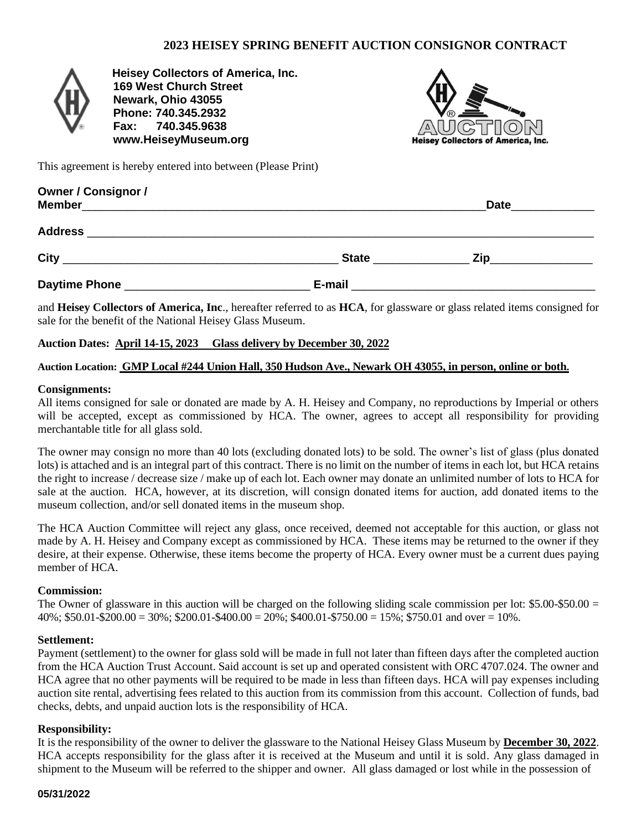## **2023 HEISEY SPRING BENEFIT AUCTION CONSIGNOR CONTRACT**



 **Heisey Collectors of America, Inc. 169 West Church Street Newark, Ohio 43055 Phone: 740.345.2932 Fax: 740.345.9638 www.HeiseyMuseum.org**



This agreement is hereby entered into between (Please Print)

| <b>Owner / Consignor /</b>                                                                                                              |              | Date               |
|-----------------------------------------------------------------------------------------------------------------------------------------|--------------|--------------------|
| <b>Address</b><br><u> 1989 - John Stone Barbara, marka a shekara 1989 - Andrea Stone Barbara, marka a shekara 1989 - Andrea Stone B</u> |              |                    |
|                                                                                                                                         | <b>State</b> | Zip_______________ |
| Daytime Phone ____________________________                                                                                              |              |                    |

and **Heisey Collectors of America, Inc**., hereafter referred to as **HCA**, for glassware or glass related items consigned for sale for the benefit of the National Heisey Glass Museum.

### **Auction Dates: April 14-15, 2023 Glass delivery by December 30, 2022**

#### **Auction Location: GMP Local #244 Union Hall, 350 Hudson Ave., Newark OH 43055, in person, online or both.**

#### **Consignments:**

All items consigned for sale or donated are made by A. H. Heisey and Company, no reproductions by Imperial or others will be accepted, except as commissioned by HCA. The owner, agrees to accept all responsibility for providing merchantable title for all glass sold.

The owner may consign no more than 40 lots (excluding donated lots) to be sold. The owner's list of glass (plus donated lots) is attached and is an integral part of this contract. There is no limit on the number of items in each lot, but HCA retains the right to increase / decrease size / make up of each lot. Each owner may donate an unlimited number of lots to HCA for sale at the auction. HCA, however, at its discretion, will consign donated items for auction, add donated items to the museum collection, and/or sell donated items in the museum shop.

The HCA Auction Committee will reject any glass, once received, deemed not acceptable for this auction, or glass not made by A. H. Heisey and Company except as commissioned by HCA. These items may be returned to the owner if they desire, at their expense. Otherwise, these items become the property of HCA. Every owner must be a current dues paying member of HCA.

#### **Commission:**

The Owner of glassware in this auction will be charged on the following sliding scale commission per lot:  $$5.00-$50.00 =$  $40\%$ ; \$50.01-\$200.00 = 30%; \$200.01-\$400.00 = 20%; \$400.01-\$750.00 = 15%; \$750.01 and over = 10%.

#### **Settlement:**

Payment (settlement) to the owner for glass sold will be made in full not later than fifteen days after the completed auction from the HCA Auction Trust Account. Said account is set up and operated consistent with ORC 4707.024. The owner and HCA agree that no other payments will be required to be made in less than fifteen days. HCA will pay expenses including auction site rental, advertising fees related to this auction from its commission from this account. Collection of funds, bad checks, debts, and unpaid auction lots is the responsibility of HCA.

#### **Responsibility:**

It is the responsibility of the owner to deliver the glassware to the National Heisey Glass Museum by **December 30, 2022**. HCA accepts responsibility for the glass after it is received at the Museum and until it is sold. Any glass damaged in shipment to the Museum will be referred to the shipper and owner. All glass damaged or lost while in the possession of